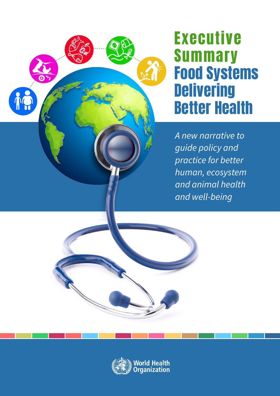

# Executive Summary Food Systems **Delivering** Better Health

A new narrative to guide policy and practice for better *human, ecosystem* and animal health and well-being

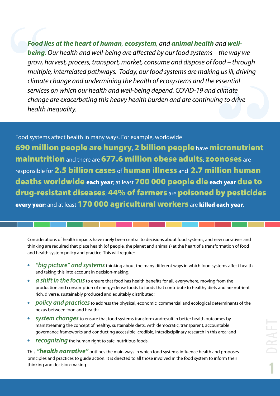*Food lies at the heart of human, ecosystem, and animal health and wellbeing. Our health and well-being are affected by our food systems – the way we grow, harvest, process, transport, market, consume and dispose of food – through multiple, interrelated pathways. Today, our food systems are making us ill, driving climate change and undermining the health of ecosystems and the essential services on which our health and well-being depend. COVID-19 and climate change are exacerbating this heavy health burden and are continuing to drive health inequality.* 

### Food systems affect health in many ways. For example, worldwide

690 million people are hungry, 2 billion people have micronutrient malnutrition and there are 677.6 million obese adults; zoonoses are responsible for 2.5 billion cases of human illness and 2.7 million human deaths worldwide each year; at least 700 000 people die each year due to drug-resistant diseases; 44% of farmers are poisoned by pesticides every year; and at least 170 000 agricultural workers are killed each year**.**

Considerations of health impacts have rarely been central to decisions about food systems, and new narratives and thinking are required that place health (of people, the planet and animals) at the heart of a transformation of food and health system policy and practice. This will require:

- *"big picture" and systems* thinking about the many different ways in which food systems affect health and taking this into account in decision-making;
- *a shift in the focus* to ensure that food has health benefits for all, everywhere, moving from the  $\bullet$ production and consumption of energy-dense foods to foods that contribute to healthy diets and are nutrient rich, diverse, sustainably produced and equitably distributed;
- *policy and practices* to address the physical, economic, commercial and ecological determinants of the nexus between food and health;
- **•** *system changes* to ensure that food systems transform andresult in better health outcomes by mainstreaming the concept of healthy, sustainable diets, with democratic, transparent, accountable governance frameworks and conducting accessible, credible, interdisciplinary research in this area; and
- *recognizing* the human right to safe, nutritious foods.

This *"health narrative"* outlines the main ways in which food systems influence health and proposes principles and practices to guide action. It is directed to all those involved in the food system to inform their thinking and decision-making.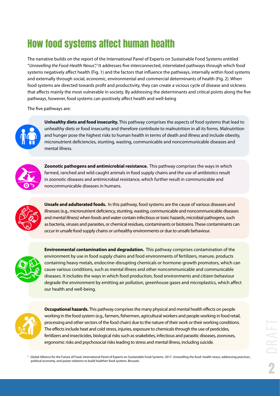### How food systems affect human health

The narrative builds on the report of the International Panel of Experts on Sustainable Food Systems entitled ''*Unravelling the Food-Health Nexus'',1* It addresses five interconnected, interrelated pathways through which food systems negatively affect health (Fig. 1) and the factors that influence the pathways, internally within food systems and externally through social, economic, environmental and commercial determinants of health (Fig. 2). When food systems are directed towards profit and productivity, they can create a vicious cycle of disease and sickness that affects mainly the most vulnerable in society. By addressing the determinants and critical points along the five pathways, however, food systems can positively affect health and well-being

The five pathways are:



 **Unhealthy diets and food insecurity.** This pathway comprises the aspects of food systems that lead to unhealthy diets or food insecurity and therefore contribute to malnutrition in all its forms. Malnutrition and hunger pose the highest risks to human health in terms of death and illness and include obesity, micronutrient deficiencies, stunting, wasting, communicable and noncommunicable diseases and mental illness.



 **Zoonotic pathogens and antimicrobial resistance.** This pathway comprises the ways in which farmed, ranched and wild caught animals in food supply chains and the use of antibiotics result in zoonotic diseases and antimicrobial resistance, which further result in communicable and noncommunicable diseases in humans.



 **Unsafe and adulterated foods.** In this pathway, food systems are the cause of various diseases and illnesses (e.g., micronutrient deficiency, stunting, wasting, communicable and noncommunicable diseases and mental illness) when foods and water contain infectious or toxic hazards, microbial pathogens, such as bacteria, viruses and parasites, or chemical residues, contaminants or biotoxins. These contaminants can occur in unsafe food supply chains or unhealthy environments or due to unsafe behaviour.



 **Environmental contamination and degradation.**  This pathway comprises contamination of the environment by use in food supply chains and food environments of fertilizers, manure, products containing heavy metals, endocrine-disrupting chemicals or hormone-growth promotors, which can cause various conditions, such as mental illness and other noncommunicable and communicable diseases. It includes the ways in which food production, food environments and citizen behaviour degrade the environment by emitting air pollution, greenhouse gases and microplastics, which affect our health and well-being.



 **Occupational hazards.** This pathway comprises the many physical and mental health effects on people working in the food system (e.g., farmers, fishermen, agricultural workers and people working in food retail, processing and other sectors of the food chain) due to the nature of their work or their working conditions. The effects include heat and cold stress, injuries, exposure to chemicals through the use of pesticides, fertilizers and insecticides, biological risks such as snakebites, infectious and parasitic diseases, zoonoses, ergonomic risks and psychosocial risks leading to stress and mental illness, including suicide.

1 Global Alliance for the Future of Food, International Panel of Experts on Sustainable Food Systems. 2017. Unravelling the food–health nexus: addressing practices, political economy, and power relations to build healthier food systems. Brussels.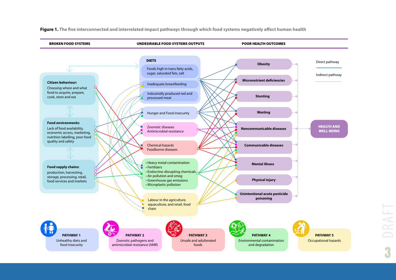

**Figure 1. The five interconnected and interrelated impact pathways through which food systems negatively affect human health**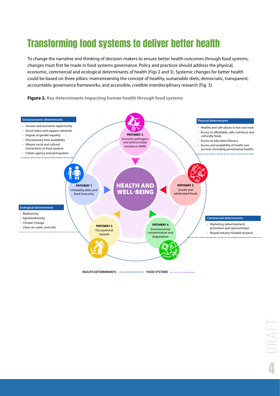### Transforming food systems to deliver better health

To change the narrative and thinking of decision-makers to ensure better health outcomes through food systems, changes must first be made in food systems governance. Policy and practices should address the physical, economic, commercial and ecological determinants of health (Figs 2 and 3). Systemic changes for better health could be based on three pillars: mainstreaming the concept of healthy, sustainable diets; democratic, transparent, accountable governance frameworks; and accessible, credible interdisciplinary research (Fig. 3).

**Figure 2. Key determinants impacting human health through food systems**



**HEALTH DETERMINANTS FOOD SYSTEMS**

4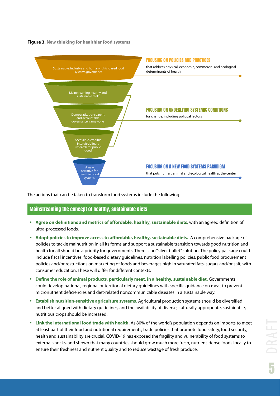**Figure 3. New thinking for healthier food systems**



The actions that can be taken to transform food systems include the following.

#### Mainstreaming the concept of healthy, sustainable diets

- **Agree on definitions and metrics of affordable, healthy, sustainable diets,** with an agreed definition of ultra-processed foods.
- **Adopt policies to improve access to affordable, healthy, sustainable diets.** A comprehensive package of policies to tackle malnutrition in all its forms and support a sustainable transition towards good nutrition and health for all should be a priority for governments. There is no "silver bullet" solution. The policy package could include fiscal incentives, food-based dietary guidelines, nutrition labelling policies, public food procurement policies and/or restrictions on marketing of foods and beverages high in saturated fats, sugars and/or salt, with consumer education. These will differ for different contexts.
- **Define the role of animal products, particularly meat, in a healthy, sustainable diet.** Governments could develop national, regional or territorial dietary guidelines with specific guidance on meat to prevent micronutrient deficiencies and diet-related noncommunicable diseases in a sustainable way.
- **Establish nutrition-sensitive agriculture systems.** Agricultural production systems should be diversified and better aligned with dietary guidelines, and the availability of diverse, culturally appropriate, sustainable, nutritious crops should be increased.
- **Link the international food trade with health.** As 80% of the world's population depends on imports to meet at least part of their food and nutritional requirements, trade policies that promote food safety, food security, health and sustainability are crucial. COVID-19 has exposed the fragility and vulnerability of food systems to external shocks, and shown that many countries should grow much more fresh, nutrient-dense foods locally to ensure their freshness and nutrient quality and to reduce wastage of fresh produce.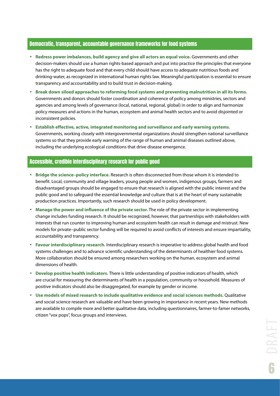#### Democratic, transparent, accountable governance frameworks for food systems

- **Redress power imbalances, build agency and give all actors an equal voice.** Governments and other decision-makers should use a human rights-based approach and put into practice the principles that everyone has the right to adequate food and that every child should have access to adequate nutritious foods and drinking-water, as recognized in international human rights law. Meaningful participation is essential to ensure transparency and accountability and to build trust in decision-making.
- **Break down siloed approaches to reforming food systems and preventing malnutrition in all its forms.**  Governments and donors should foster coordination and coherence of policy among ministries, sectors and agencies and among levels of governance (local, national, regional, global) in order to align and harmonize policy measures and actions in the human, ecosystem and animal health sectors and to avoid disjointed or inconsistent policies.
- **Establish effective, active, integrated monitoring and surveillance and early warning systems.** Governments, working closely with intergovernmental organizations should strengthen national surveillance systems so that they provide early warning of the range of human and animal diseases outlined above, including the underlying ecological conditions that drive disease emergence.

#### Accessible, credible interdisciplinary research for public good

- **Bridge the science–policy interface.** Research is often disconnected from those whom it is intended to benefit. Local, community and village leaders, young people and women, indigenous groups, farmers and disadvantaged groups should be engaged to ensure that research is aligned with the public interest and the public good and to safeguard the essential knowledge and culture that is at the heart of many sustainable production practices. Importantly, such research should be used in policy development.
- **Manage the power and influence of the private sector.** The role of the private sector in implementing change includes funding research. It should be recognized, however, that partnerships with stakeholders with interests that run counter to improving human and ecosystem health can result in damage and mistrust. New models for private–public sector funding will be required to avoid conflicts of interests and ensure impartiality, accountability and transparency.
- **Favour interdisciplinary research.** Interdisciplinary research is imperative to address global health and food systems challenges and to advance scientific understanding of the determinants of healthier food systems. More collaboration should be ensured among researchers working on the human, ecosystem and animal dimensions of health.
- **Develop positive health indicators.** There is little understanding of positive indicators of health, which are crucial for measuring the determinants of health in a population, community or household. Measures of positive indicators should also be disaggregated, for example by gender or income.
- **Use models of mixed research to include qualitative evidence and social sciences methods.** Qualitative and social science research are valuable and have been growing in importance in recent years. New methods are available to compile more and better qualitative data, including questionnaires, farmer-to-famer networks, citizen "vox pops", focus groups and interviews.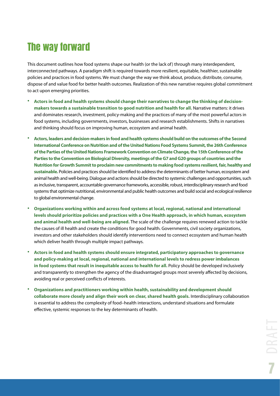### The way forward

This document outlines how food systems shape our health (or the lack of) through many interdependent, interconnected pathways. A paradigm shift is required towards more resilient, equitable, healthier, sustainable policies and practices in food systems. We must change the way we think about, produce, distribute, consume, dispose of and value food for better health outcomes. Realization of this new narrative requires global commitment to act upon emerging priorities.

- **Actors in food and health systems should change their narratives to change the thinking of decisionmakers towards a sustainable transition to good nutrition and health for all.** Narrative matters: it drives and dominates research, investment, policy-making and the practices of many of the most powerful actors in food systems, including governments, investors, businesses and research establishments. Shifts in narratives and thinking should focus on improving human, ecosystem and animal health.
- **Actors, leaders and decision-makers in food and health systems should build on the outcomes of the Second International Conference on Nutrition and of the United Nations Food Systems Summit, the 26th Conference of the Parties of the United Nations Framework Convention on Climate Change, the 15th Conference of the Parties to the Convention on Biological Diversity, meetings of the G7 and G20 groups of countries and the Nutrition for Growth Summit to proclaim new commitments to making food systems resilient, fair, healthy and sustainable.** Policies and practices should be identified to address the determinants of better human, ecosystem and animal health and well-being. Dialogue and actions should be directed to systemic challenges and opportunities, such as inclusive, transparent, accountable governance frameworks, accessible, robust, interdisciplinary research and food systems that optimize nutritional, environmental and public health outcomes and build social and ecological resilience to global environmental change.
- **Organizations working within and across food systems at local, regional, national and international levels should prioritize policies and practices with a One Health approach, in which human, ecosystem and animal health and well-being are aligned.** The scale of the challenge requires renewed action to tackle the causes of ill health and create the conditions for good health. Governments, civil society organizations, investors and other stakeholders should identify interventions need to connect ecosystem and human health which deliver health through multiple impact pathways.
- **Actors in food and health systems should ensure integrated, participatory approaches to governance and policy-making at local, regional, national and international levels to redress power imbalances in food systems that result in inequitable access to health for all.** Policy should be developed inclusively and transparently to strengthen the agency of the disadvantaged groups most severely affected by decisions, avoiding real or perceived conflicts of interests.
- **Organizations and practitioners working within health, sustainability and development should collaborate more closely and align their work on clear, shared health goals.** Interdisciplinary collaboration is essential to address the complexity of food–health interactions, understand situations and formulate effective, systemic responses to the key determinants of health.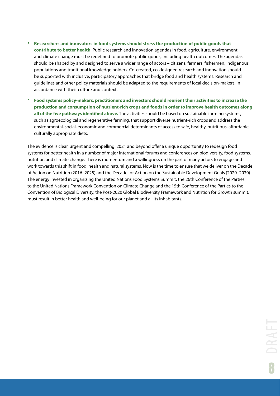- **Researchers and innovators in food systems should stress the production of public goods that contribute to better health**. Public research and innovation agendas in food, agriculture, environment and climate change must be redefined to promote public goods, including health outcomes. The agendas should be shaped by and designed to serve a wider range of actors – citizens, farmers, fishermen, indigenous populations and traditional knowledge holders. Co-created, co-designed research and innovation should be supported with inclusive, participatory approaches that bridge food and health systems. Research and guidelines and other policy materials should be adapted to the requirements of local decision-makers, in accordance with their culture and context.
- **Food systems policy-makers, practitioners and investors should reorient their activities to increase the production and consumption of nutrient-rich crops and foods in order to improve health outcomes along all of the five pathways identified above.** The activities should be based on sustainable farming systems, such as agroecological and regenerative farming, that support diverse nutrient-rich crops and address the environmental, social, economic and commercial determinants of access to safe, healthy, nutritious, affordable, culturally appropriate diets.

The evidence is clear, urgent and compelling: 2021 and beyond offer a unique opportunity to redesign food systems for better health in a number of major international forums and conferences on biodiversity, food systems, nutrition and climate change. There is momentum and a willingness on the part of many actors to engage and work towards this shift in food, health and natural systems. Now is the time to ensure that we deliver on the Decade of Action on Nutrition (2016–2025) and the Decade for Action on the Sustainable Development Goals (2020–2030). The energy invested in organizing the United Nations Food Systems Summit, the 26th Conference of the Parties to the United Nations Framework Convention on Climate Change and the 15th Conference of the Parties to the Convention of Biological Diversity, the Post-2020 Global Biodiversity Framework and Nutrition for Growth summit, must result in better health and well-being for our planet and all its inhabitants.